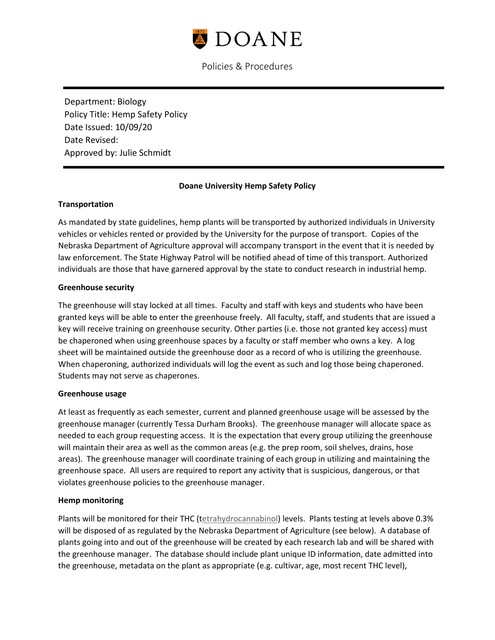

Policies & Procedures

Department: Biology Policy Title: Hemp Safety Policy Date Issued: 10/09/20 Date Revised: Approved by: Julie Schmidt

# **Doane University Hemp Safety Policy**

### **Transportation**

As mandated by state guidelines, hemp plants will be transported by authorized individuals in University vehicles or vehicles rented or provided by the University for the purpose of transport. Copies of the Nebraska Department of Agriculture approval will accompany transport in the event that it is needed by law enforcement. The State Highway Patrol will be notified ahead of time of this transport. Authorized individuals are those that have garnered approval by the state to conduct research in industrial hemp.

### **Greenhouse security**

The greenhouse will stay locked at all times. Faculty and staff with keys and students who have been granted keys will be able to enter the greenhouse freely. All faculty, staff, and students that are issued a key will receive training on greenhouse security. Other parties (i.e. those not granted key access) must be chaperoned when using greenhouse spaces by a faculty or staff member who owns a key. A log sheet will be maintained outside the greenhouse door as a record of who is utilizing the greenhouse. When chaperoning, authorized individuals will log the event as such and log those being chaperoned. Students may not serve as chaperones.

### **Greenhouse usage**

At least as frequently as each semester, current and planned greenhouse usage will be assessed by the greenhouse manager (currently Tessa Durham Brooks). The greenhouse manager will allocate space as needed to each group requesting access. It is the expectation that every group utilizing the greenhouse will maintain their area as well as the common areas (e.g. the prep room, soil shelves, drains, hose areas). The greenhouse manager will coordinate training of each group in utilizing and maintaining the greenhouse space. All users are required to report any activity that is suspicious, dangerous, or that violates greenhouse policies to the greenhouse manager.

### **Hemp monitoring**

Plants will be monitored for their THC ([tetrahydrocannabinol\)](https://en.wikipedia.org/wiki/Tetrahydrocannabinol) levels. Plants testing at levels above 0.3% will be disposed of as regulated by the Nebraska Department of Agriculture (see below). A database of plants going into and out of the greenhouse will be created by each research lab and will be shared with the greenhouse manager. The database should include plant unique ID information, date admitted into the greenhouse, metadata on the plant as appropriate (e.g. cultivar, age, most recent THC level),